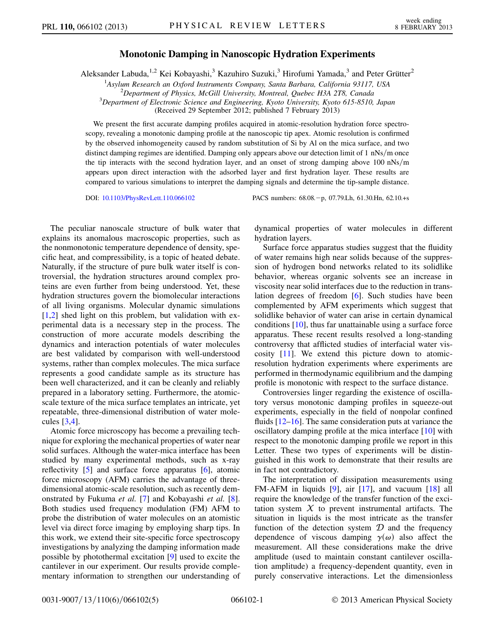## Monotonic Damping in Nanoscopic Hydration Experiments

Aleksander Labuda,<sup>1,2</sup> Kei Kobayashi,<sup>3</sup> Kazuhiro Suzuki,<sup>3</sup> Hirofumi Yamada,<sup>3</sup> and Peter Grütter<sup>2</sup>

<sup>1</sup>Asylum Research an Oxford Instruments Company, Santa Barbara, California 93117, USA<br><sup>2</sup>Department of Physics, McGill University, Montreal, Quebec H3A 2T8, Canada

 $^{2}$ Department of Physics, McGill University, Montreal, Quebec H3A 2T8, Canada

 ${}^{3}$ Department of Electronic Science and Engineering, Kyoto University, Kyoto 615-8510, Japan

(Received 29 September 2012; published 7 February 2013)

We present the first accurate damping profiles acquired in atomic-resolution hydration force spectroscopy, revealing a monotonic damping profile at the nanoscopic tip apex. Atomic resolution is confirmed by the observed inhomogeneity caused by random substitution of Si by Al on the mica surface, and two distinct damping regimes are identified. Damping only appears above our detection limit of 1 nNs/m once the tip interacts with the second hydration layer, and an onset of strong damping above  $100 \text{ nNs/m}$ appears upon direct interaction with the adsorbed layer and first hydration layer. These results are compared to various simulations to interpret the damping signals and determine the tip-sample distance.

DOI: [10.1103/PhysRevLett.110.066102](http://dx.doi.org/10.1103/PhysRevLett.110.066102) PACS numbers: 68.08.p, 07.79.Lh, 61.30.Hn, 62.10.+s

The peculiar nanoscale structure of bulk water that explains its anomalous macroscopic properties, such as the nonmonotonic temperature dependence of density, specific heat, and compressibility, is a topic of heated debate. Naturally, if the structure of pure bulk water itself is controversial, the hydration structures around complex proteins are even further from being understood. Yet, these hydration structures govern the biomolecular interactions of all living organisms. Molecular dynamic simulations  $[1,2]$  $[1,2]$  $[1,2]$  shed light on this problem, but validation with experimental data is a necessary step in the process. The construction of more accurate models describing the dynamics and interaction potentials of water molecules are best validated by comparison with well-understood systems, rather than complex molecules. The mica surface represents a good candidate sample as its structure has been well characterized, and it can be cleanly and reliably prepared in a laboratory setting. Furthermore, the atomicscale texture of the mica surface templates an intricate, yet repeatable, three-dimensional distribution of water molecules [\[3](#page-4-2),[4](#page-4-3)].

Atomic force microscopy has become a prevailing technique for exploring the mechanical properties of water near solid surfaces. Although the water-mica interface has been studied by many experimental methods, such as x-ray reflectivity [\[5](#page-4-4)] and surface force apparatus [[6\]](#page-4-5), atomic force microscopy (AFM) carries the advantage of threedimensional atomic-scale resolution, such as recently demonstrated by Fukuma et al. [\[7\]](#page-4-6) and Kobayashi et al. [[8\]](#page-4-7). Both studies used frequency modulation (FM) AFM to probe the distribution of water molecules on an atomistic level via direct force imaging by employing sharp tips. In this work, we extend their site-specific force spectroscopy investigations by analyzing the damping information made possible by photothermal excitation [\[9\]](#page-4-8) used to excite the cantilever in our experiment. Our results provide complementary information to strengthen our understanding of dynamical properties of water molecules in different hydration layers.

Surface force apparatus studies suggest that the fluidity of water remains high near solids because of the suppression of hydrogen bond networks related to its solidlike behavior, whereas organic solvents see an increase in viscosity near solid interfaces due to the reduction in translation degrees of freedom [[6\]](#page-4-5). Such studies have been complemented by AFM experiments which suggest that solidlike behavior of water can arise in certain dynamical conditions [[10](#page-4-9)], thus far unattainable using a surface force apparatus. These recent results resolved a long-standing controversy that afflicted studies of interfacial water viscosity [[11](#page-4-10)]. We extend this picture down to atomicresolution hydration experiments where experiments are performed in thermodynamic equilibrium and the damping profile is monotonic with respect to the surface distance.

Controversies linger regarding the existence of oscillatory versus monotonic damping profiles in squeeze-out experiments, especially in the field of nonpolar confined fluids [[12](#page-4-11)–[16](#page-4-12)]. The same consideration puts at variance the oscillatory damping profile at the mica interface [[10](#page-4-9)] with respect to the monotonic damping profile we report in this Letter. These two types of experiments will be distinguished in this work to demonstrate that their results are in fact not contradictory.

The interpretation of dissipation measurements using FM-AFM in liquids [\[9\]](#page-4-8), air [\[17\]](#page-4-13), and vacuum [[18\]](#page-4-14) all require the knowledge of the transfer function of the excitation system  $X$  to prevent instrumental artifacts. The situation in liquids is the most intricate as the transfer function of the detection system  $D$  and the frequency dependence of viscous damping  $\gamma(\omega)$  also affect the measurement. All these considerations make the drive amplitude (used to maintain constant cantilever oscillation amplitude) a frequency-dependent quantity, even in purely conservative interactions. Let the dimensionless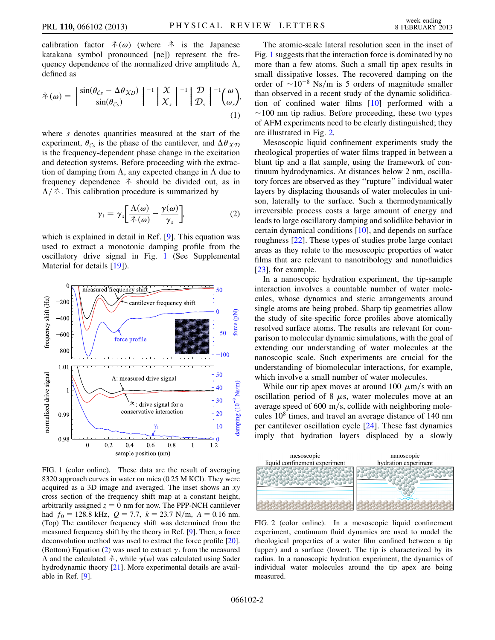8 FEBRUARY 2013

calibration factor  $\lambda(\omega)$  (where  $\lambda$  is the Japanese katakana symbol pronounced [ne]) represent the frequency dependence of the normalized drive amplitude  $\Lambda$ , defined as

$$
\tilde{\mathcal{R}}(\omega) = \left| \frac{\sin(\theta_{Cs} - \Delta \theta_{XD})}{\sin(\theta_{Cs})} \right|^{-1} \left| \frac{\mathcal{X}}{\mathcal{X}_s} \right|^{-1} \left| \frac{\mathcal{D}}{\mathcal{D}_s} \right|^{-1} \left( \frac{\omega}{\omega_s} \right),\tag{1}
$$

where s denotes quantities measured at the start of the experiment,  $\theta_{\mathcal{C}s}$  is the phase of the cantilever, and  $\Delta\theta_{\chi\chi}$ is the frequency-dependent phase change in the excitation and detection systems. Before proceeding with the extraction of damping from  $\Lambda$ , any expected change in  $\Lambda$  due to frequency dependence  $\lambda$  should be divided out, as in  $\Lambda/\lambda$ . This calibration procedure is summarized by

$$
\gamma_i = \gamma_s \bigg[ \frac{\Lambda(\omega)}{\hat{\tau}(\omega)} - \frac{\gamma(\omega)}{\gamma_s} \bigg],\tag{2}
$$

<span id="page-1-2"></span>which is explained in detail in Ref. [\[9](#page-4-8)]. This equation was used to extract a monotonic damping profile from the oscillatory drive signal in Fig. [1](#page-1-0) (See Supplemental Material for details [[19](#page-4-15)]).

<span id="page-1-0"></span>

FIG. 1 (color online). These data are the result of averaging 8320 approach curves in water on mica (0.25 M KCl). They were acquired as a 3D image and averaged. The inset shows an xy cross section of the frequency shift map at a constant height, arbitrarily assigned  $z = 0$  nm for now. The PPP-NCH cantilever had  $f_0 = 128.8$  kHz,  $Q = 7.7$ ,  $k = 23.7$  N/m,  $A = 0.16$  nm. (Top) The cantilever frequency shift was determined from the measured frequency shift by the theory in Ref. [\[9\]](#page-4-8). Then, a force deconvolution method was used to extract the force profile [\[20\]](#page-4-19). (Bottom) Equation [\(2\)](#page-1-2) was used to extract  $\gamma_i$  from the measured  $\Lambda$  and the calculated  $\lambda$ , while  $\gamma(\omega)$  was calculated using Sader hydrodynamic theory [[21](#page-4-20)]. More experimental details are available in Ref. [[9](#page-4-8)].

The atomic-scale lateral resolution seen in the inset of Fig. [1](#page-1-0) suggests that the interaction force is dominated by no more than a few atoms. Such a small tip apex results in small dissipative losses. The recovered damping on the order of  $\sim 10^{-8}$  Ns/m is 5 orders of magnitude smaller than observed in a recent study of the dynamic solidification of confined water films [\[10\]](#page-4-9) performed with a  $\sim$ 100 nm tip radius. Before proceeding, these two types of AFM experiments need to be clearly distinguished; they are illustrated in Fig. [2.](#page-1-1)

Mesoscopic liquid confinement experiments study the rheological properties of water films trapped in between a blunt tip and a flat sample, using the framework of continuum hydrodynamics. At distances below 2 nm, oscillatory forces are observed as they ''rupture'' individual water layers by displacing thousands of water molecules in unison, laterally to the surface. Such a thermodynamically irreversible process costs a large amount of energy and leads to large oscillatory damping and solidlike behavior in certain dynamical conditions [[10](#page-4-9)], and depends on surface roughness [[22](#page-4-16)]. These types of studies probe large contact areas as they relate to the mesoscopic properties of water films that are relevant to nanotribology and nanofluidics [\[23\]](#page-4-17), for example.

In a nanoscopic hydration experiment, the tip-sample interaction involves a countable number of water molecules, whose dynamics and steric arrangements around single atoms are being probed. Sharp tip geometries allow the study of site-specific force profiles above atomically resolved surface atoms. The results are relevant for comparison to molecular dynamic simulations, with the goal of extending our understanding of water molecules at the nanoscopic scale. Such experiments are crucial for the understanding of biomolecular interactions, for example, which involve a small number of water molecules.

While our tip apex moves at around 100  $\mu$ m/s with an oscillation period of 8  $\mu$ s, water molecules move at an average speed of 600 m/s, collide with neighboring molecules  $10<sup>8</sup>$  times, and travel an average distance of 140 nm per cantilever oscillation cycle [[24](#page-4-18)]. These fast dynamics imply that hydration layers displaced by a slowly

<span id="page-1-1"></span>

FIG. 2 (color online). In a mesoscopic liquid confinement experiment, continuum fluid dynamics are used to model the rheological properties of a water film confined between a tip (upper) and a surface (lower). The tip is characterized by its radius. In a nanoscopic hydration experiment, the dynamics of individual water molecules around the tip apex are being measured.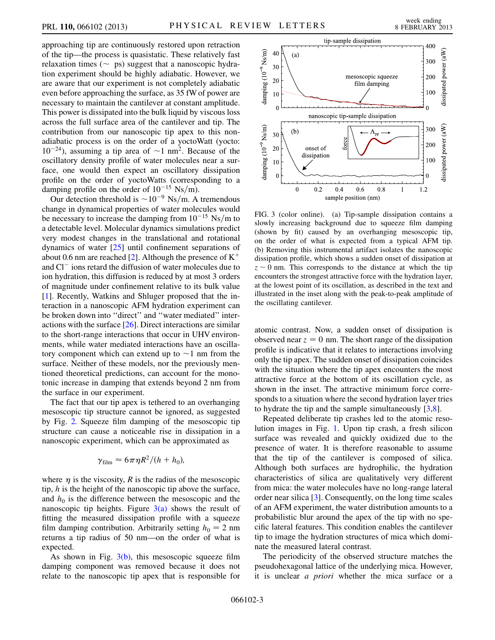approaching tip are continuously restored upon retraction of the tip—the process is quasistatic. These relatively fast relaxation times ( $\sim$  ps) suggest that a nanoscopic hydration experiment should be highly adiabatic. However, we are aware that our experiment is not completely adiabatic even before approaching the surface, as 35 fW of power are necessary to maintain the cantilever at constant amplitude. This power is dissipated into the bulk liquid by viscous loss across the full surface area of the cantilever and tip. The contribution from our nanoscopic tip apex to this nonadiabatic process is on the order of a yoctoWatt (yocto:  $10^{-24}$ ), assuming a tip area of  $\sim$ 1 nm<sup>2</sup>. Because of the oscillatory density profile of water molecules near a surface, one would then expect an oscillatory dissipation profile on the order of yoctoWatts (corresponding to a damping profile on the order of  $10^{-15}$  Ns/m).

Our detection threshold is  $\sim 10^{-9}$  Ns/m. A tremendous change in dynamical properties of water molecules would be necessary to increase the damping from  $10^{-15}$  Ns/m to a detectable level. Molecular dynamics simulations predict very modest changes in the translational and rotational dynamics of water [[25](#page-4-21)] until confinement separations of about 0.6 nm are reached [[2](#page-4-1)]. Although the presence of  $K^+$ and  $Cl^-$  ions retard the diffusion of water molecules due to ion hydration, this diffusion is reduced by at most 3 orders of magnitude under confinement relative to its bulk value [\[1\]](#page-4-0). Recently, Watkins and Shluger proposed that the interaction in a nanoscopic AFM hydration experiment can be broken down into ''direct'' and ''water mediated'' interactions with the surface [\[26](#page-4-22)]. Direct interactions are similar to the short-range interactions that occur in UHV environments, while water mediated interactions have an oscillatory component which can extend up to  $\sim$  1 nm from the surface. Neither of these models, nor the previously mentioned theoretical predictions, can account for the monotonic increase in damping that extends beyond 2 nm from the surface in our experiment.

The fact that our tip apex is tethered to an overhanging mesoscopic tip structure cannot be ignored, as suggested by Fig. [2.](#page-1-1) Squeeze film damping of the mesoscopic tip structure can cause a noticeable rise in dissipation in a nanoscopic experiment, which can be approximated as

$$
\gamma_{\rm film} \approx 6\pi \eta R^2/(h+h_0),
$$

where  $\eta$  is the viscosity, R is the radius of the mesoscopic tip,  $h$  is the height of the nanoscopic tip above the surface, and  $h_0$  is the difference between the mesoscopic and the nanoscopic tip heights. Figure  $3(a)$  shows the result of fitting the measured dissipation profile with a squeeze film damping contribution. Arbitrarily setting  $h_0 = 2$  nm returns a tip radius of 50 nm—on the order of what is expected.

As shown in Fig.  $3(b)$ , this mesoscopic squeeze film damping component was removed because it does not relate to the nanoscopic tip apex that is responsible for

<span id="page-2-1"></span>

<span id="page-2-0"></span>FIG. 3 (color online). (a) Tip-sample dissipation contains a slowly increasing background due to squeeze film damping (shown by fit) caused by an overhanging mesoscopic tip, on the order of what is expected from a typical AFM tip. (b) Removing this instrumental artifact isolates the nanoscopic dissipation profile, which shows a sudden onset of dissipation at  $z \sim 0$  nm. This corresponds to the distance at which the tip encounters the strongest attractive force with the hydration layer, at the lowest point of its oscillation, as described in the text and illustrated in the inset along with the peak-to-peak amplitude of the oscillating cantilever.

atomic contrast. Now, a sudden onset of dissipation is observed near  $z = 0$  nm. The short range of the dissipation profile is indicative that it relates to interactions involving only the tip apex. The sudden onset of dissipation coincides with the situation where the tip apex encounters the most attractive force at the bottom of its oscillation cycle, as shown in the inset. The attractive minimum force corresponds to a situation where the second hydration layer tries to hydrate the tip and the sample simultaneously [\[3,](#page-4-2)[8\]](#page-4-7).

Repeated deliberate tip crashes led to the atomic resolution images in Fig. [1](#page-1-0). Upon tip crash, a fresh silicon surface was revealed and quickly oxidized due to the presence of water. It is therefore reasonable to assume that the tip of the cantilever is composed of silica. Although both surfaces are hydrophilic, the hydration characteristics of silica are qualitatively very different from mica: the water molecules have no long-range lateral order near silica [\[3\]](#page-4-2). Consequently, on the long time scales of an AFM experiment, the water distribution amounts to a probabilistic blur around the apex of the tip with no specific lateral features. This condition enables the cantilever tip to image the hydration structures of mica which dominate the measured lateral contrast.

The periodicity of the observed structure matches the pseudohexagonal lattice of the underlying mica. However, it is unclear a priori whether the mica surface or a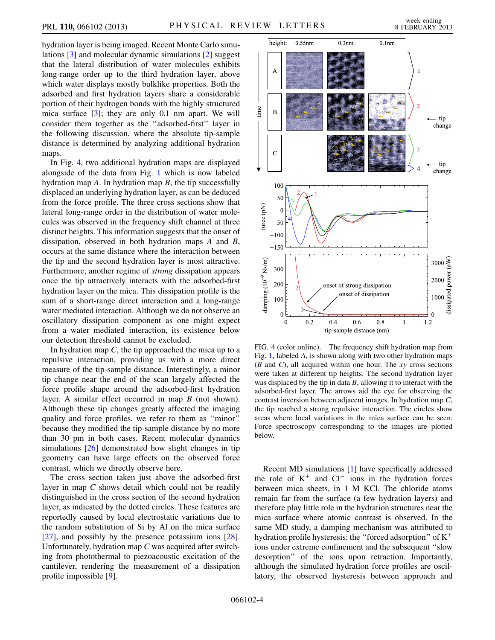hydration layer is being imaged. Recent Monte Carlo simulations [\[3](#page-4-2)] and molecular dynamic simulations [\[2](#page-4-1)] suggest that the lateral distribution of water molecules exhibits long-range order up to the third hydration layer, above which water displays mostly bulklike properties. Both the adsorbed and first hydration layers share a considerable portion of their hydrogen bonds with the highly structured mica surface [\[3](#page-4-2)]; they are only 0.1 nm apart. We will consider them together as the ''adsorbed-first'' layer in the following discussion, where the absolute tip-sample distance is determined by analyzing additional hydration maps.

In Fig. [4](#page-3-0), two additional hydration maps are displayed alongside of the data from Fig. [1](#page-1-0) which is now labeled hydration map  $A$ . In hydration map  $B$ , the tip successfully displaced an underlying hydration layer, as can be deduced from the force profile. The three cross sections show that lateral long-range order in the distribution of water molecules was observed in the frequency shift channel at three distinct heights. This information suggests that the onset of dissipation, observed in both hydration maps A and B, occurs at the same distance where the interaction between the tip and the second hydration layer is most attractive. Furthermore, another regime of strong dissipation appears once the tip attractively interacts with the adsorbed-first hydration layer on the mica. This dissipation profile is the sum of a short-range direct interaction and a long-range water mediated interaction. Although we do not observe an oscillatory dissipation component as one might expect from a water mediated interaction, its existence below our detection threshold cannot be excluded.

In hydration map  $C$ , the tip approached the mica up to a repulsive interaction, providing us with a more direct measure of the tip-sample distance. Interestingly, a minor tip change near the end of the scan largely affected the force profile shape around the adsorbed-first hydration layer. A similar effect occurred in map B (not shown). Although these tip changes greatly affected the imaging quality and force profiles, we refer to them as ''minor'' because they modified the tip-sample distance by no more than 30 pm in both cases. Recent molecular dynamics simulations [[26](#page-4-22)] demonstrated how slight changes in tip geometry can have large effects on the observed force contrast, which we directly observe here.

The cross section taken just above the adsorbed-first layer in map C shows detail which could not be readily distinguished in the cross section of the second hydration layer, as indicated by the dotted circles. These features are reportedly caused by local electrostatic variations due to the random substitution of Si by Al on the mica surface [\[27\]](#page-4-23), and possibly by the presence potassium ions [\[28\]](#page-4-24). Unfortunately, hydration map C was acquired after switching from photothermal to piezoacoustic excitation of the cantilever, rendering the measurement of a dissipation profile impossible [\[9](#page-4-8)].

<span id="page-3-0"></span>

FIG. 4 (color online). The frequency shift hydration map from Fig. [1](#page-1-0), labeled A, is shown along with two other hydration maps  $(B \text{ and } C)$ , all acquired within one hour. The xy cross sections were taken at different tip heights. The second hydration layer was displaced by the tip in data  $B$ , allowing it to interact with the adsorbed-first layer. The arrows aid the eye for observing the contrast inversion between adjacent images. In hydration map C, the tip reached a strong repulsive interaction. The circles show areas where local variations in the mica surface can be seen. Force spectroscopy corresponding to the images are plotted below.

Recent MD simulations [[1](#page-4-0)] have specifically addressed the role of  $K^+$  and  $Cl^-$  ions in the hydration forces between mica sheets, in 1 M KCl. The chloride atoms remain far from the surface (a few hydration layers) and therefore play little role in the hydration structures near the mica surface where atomic contrast is observed. In the same MD study, a damping mechanism was attributed to hydration profile hysteresis: the "forced adsorption" of  $K^+$ ions under extreme confinement and the subsequent ''slow desorption'' of the ions upon retraction. Importantly, although the simulated hydration force profiles are oscillatory, the observed hysteresis between approach and